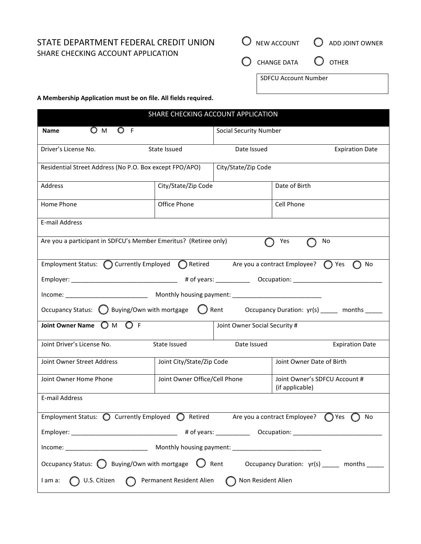STATE DEPARTMENT FEDERAL CREDIT UNION SHARE CHECKING ACCOUNT APPLICATION

|                                         | $\bigcirc$ NEW ACCOUNT $\bigcirc$ ADD JOINT OWNER |  |
|-----------------------------------------|---------------------------------------------------|--|
| $\bigcirc$ change data $\bigcirc$ other |                                                   |  |
| SDFCU Account Number                    |                                                   |  |

**A Membership Application must be on file. All fields required.**

| <b>SHARE CHECKING ACCOUNT APPLICATION</b>                                                                                     |                                                       |                               |                                                  |  |
|-------------------------------------------------------------------------------------------------------------------------------|-------------------------------------------------------|-------------------------------|--------------------------------------------------|--|
| $\bigcirc$ M<br>O F<br><b>Name</b>                                                                                            |                                                       | <b>Social Security Number</b> |                                                  |  |
| Driver's License No.                                                                                                          | State Issued                                          | Date Issued                   | <b>Expiration Date</b>                           |  |
| Residential Street Address (No P.O. Box except FPO/APO)                                                                       |                                                       | City/State/Zip Code           |                                                  |  |
| Address                                                                                                                       | City/State/Zip Code                                   |                               | Date of Birth                                    |  |
| Home Phone                                                                                                                    | Office Phone                                          |                               | Cell Phone                                       |  |
| E-mail Address                                                                                                                |                                                       |                               |                                                  |  |
| Are you a participant in SDFCU's Member Emeritus? (Retiree only)<br>Yes<br>No                                                 |                                                       |                               |                                                  |  |
| Employment Status: $\bigcirc$ Currently Employed $\bigcirc$ Retired Are you a contract Employee? $\bigcirc$ Yes<br>No         |                                                       |                               |                                                  |  |
|                                                                                                                               |                                                       |                               |                                                  |  |
| Income: ________________________________ Monthly housing payment: _________________________________                           |                                                       |                               |                                                  |  |
| Occupancy Status: $\bigcirc$ Buying/Own with mortgage $\bigcirc$ Rent Occupancy Duration: yr(s) ____ months ____              |                                                       |                               |                                                  |  |
| Joint Owner Name $\bigcirc$ M $\bigcirc$ F                                                                                    | Joint Owner Social Security #                         |                               |                                                  |  |
| Joint Driver's License No.                                                                                                    | State Issued<br>Date Issued<br><b>Expiration Date</b> |                               |                                                  |  |
| Joint Owner Street Address                                                                                                    | Joint City/State/Zip Code                             |                               | Joint Owner Date of Birth                        |  |
| Joint Owner Home Phone                                                                                                        | Joint Owner Office/Cell Phone                         |                               | Joint Owner's SDFCU Account #<br>(if applicable) |  |
| E-mail Address                                                                                                                |                                                       |                               |                                                  |  |
| Employment Status: $\bigcirc$ Currently Employed $\bigcirc$ Retired Are you a contract Employee? $\bigcirc$ Yes $\bigcirc$ No |                                                       |                               |                                                  |  |
|                                                                                                                               |                                                       |                               |                                                  |  |
|                                                                                                                               |                                                       |                               |                                                  |  |
| Occupancy Status: $\bigcirc$ Buying/Own with mortgage $\bigcirc$ Rent<br>Occupancy Duration: yr(s) _____ months _____         |                                                       |                               |                                                  |  |
| U.S. Citizen <b>C</b> Permanent Resident Alien<br>Non Resident Alien<br>I am a:                                               |                                                       |                               |                                                  |  |